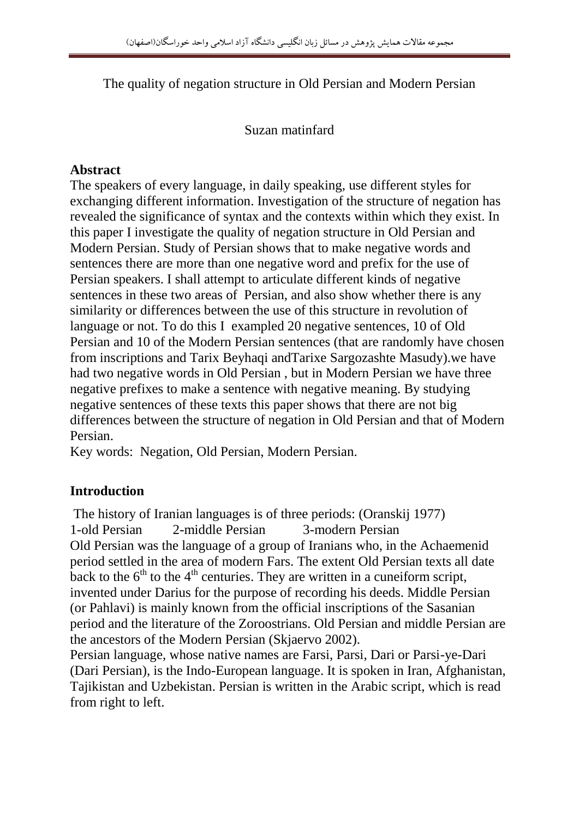The quality of negation structure in Old Persian and Modern Persian

### Suzan matinfard

## **Abstract**

The speakers of every language, in daily speaking, use different styles for exchanging different information. Investigation of the structure of negation has revealed the significance of syntax and the contexts within which they exist. In this paper I investigate the quality of negation structure in Old Persian and Modern Persian. Study of Persian shows that to make negative words and sentences there are more than one negative word and prefix for the use of Persian speakers. I shall attempt to articulate different kinds of negative sentences in these two areas of Persian, and also show whether there is any similarity or differences between the use of this structure in revolution of language or not. To do this I exampled 20 negative sentences, 10 of Old Persian and 10 of the Modern Persian sentences (that are randomly have chosen from inscriptions and Tarix Beyhaqi andTarixe Sargozashte Masudy).we have had two negative words in Old Persian , but in Modern Persian we have three negative prefixes to make a sentence with negative meaning. By studying negative sentences of these texts this paper shows that there are not big differences between the structure of negation in Old Persian and that of Modern Persian.

Key words: Negation, Old Persian, Modern Persian.

### **Introduction**

The history of Iranian languages is of three periods: (Oranskij 1977) 1-old Persian 2-middle Persian 3-modern Persian Old Persian was the language of a group of Iranians who, in the Achaemenid period settled in the area of modern Fars. The extent Old Persian texts all date back to the  $6<sup>th</sup>$  to the  $4<sup>th</sup>$  centuries. They are written in a cuneiform script, invented under Darius for the purpose of recording his deeds. Middle Persian (or Pahlavi) is mainly known from the official inscriptions of the Sasanian period and the literature of the Zoroostrians. Old Persian and middle Persian are the ancestors of the Modern Persian (Skjaervo 2002).

Persian language, whose native names are Farsi, Parsi, Dari or Parsi-ye-Dari (Dari Persian), is the Indo-European language. It is spoken in Iran, Afghanistan, Tajikistan and Uzbekistan. Persian is written in the Arabic script, which is read from right to left.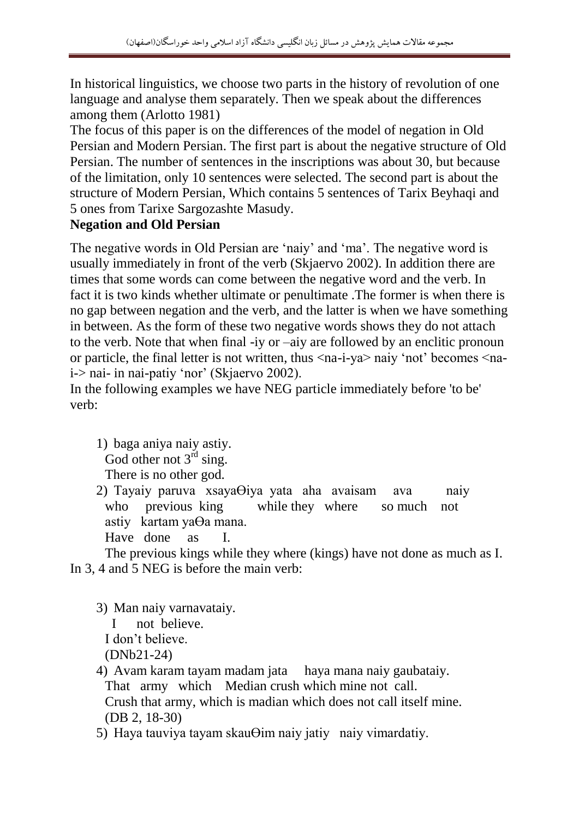In historical linguistics, we choose two parts in the history of revolution of one language and analyse them separately. Then we speak about the differences among them (Arlotto 1981)

The focus of this paper is on the differences of the model of negation in Old Persian and Modern Persian. The first part is about the negative structure of Old Persian. The number of sentences in the inscriptions was about 30, but because of the limitation, only 10 sentences were selected. The second part is about the structure of Modern Persian, Which contains 5 sentences of Tarix Beyhaqi and 5 ones from Tarixe Sargozashte Masudy.

### **Negation and Old Persian**

The negative words in Old Persian are 'naiy' and 'ma'. The negative word is usually immediately in front of the verb (Skjaervo 2002). In addition there are times that some words can come between the negative word and the verb. In fact it is two kinds whether ultimate or penultimate .The former is when there is no gap between negation and the verb, and the latter is when we have something in between. As the form of these two negative words shows they do not attach to the verb. Note that when final -iy or –aiy are followed by an enclitic pronoun or particle, the final letter is not written, thus <na-i-ya> naiy 'not' becomes <nai-> nai- in nai-patiy 'nor' (Skjaervo 2002).

In the following examples we have NEG particle immediately before 'to be' verb:

1) baga aniya naiy astiy. God other not  $3<sup>rd</sup>$  sing. There is no other god.

2) Tayaiy paruva xsayaӨiya yata aha avaisam ava naiy who previous king while they where so much not astiy kartam yaӨa mana.

Have done as I.

The previous kings while they where (kings) have not done as much as I. In 3, 4 and 5 NEG is before the main verb:

3) Man naiy varnavataiy.

I not believe.

I don't believe.

(DNb21-24)

4) Avam karam tayam madam jata haya mana naiy gaubataiy. That army which Median crush which mine not call. Crush that army, which is madian which does not call itself mine. (DB 2, 18-30)

5) Haya tauviya tayam skauӨim naiy jatiy naiy vimardatiy.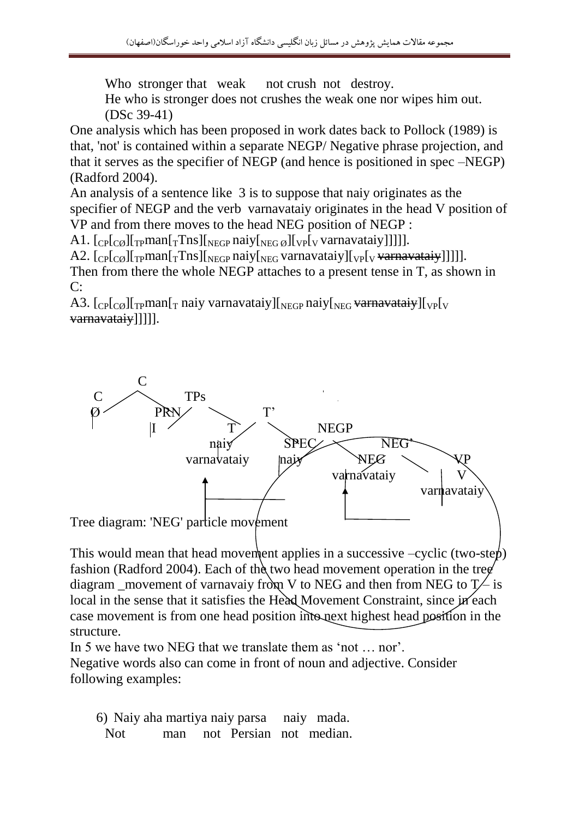Who stronger that weak not crush not destroy.

He who is stronger does not crushes the weak one nor wipes him out. (DSc 39-41)

One analysis which has been proposed in work dates back to Pollock (1989) is that, 'not' is contained within a separate NEGP/ Negative phrase projection, and that it serves as the specifier of NEGP (and hence is positioned in spec –NEGP) (Radford 2004).

An analysis of a sentence like 3 is to suppose that naiy originates as the specifier of NEGP and the verb varnavataiy originates in the head V position of VP and from there moves to the head NEG position of NEGP :

A1.  $\left[\frac{C_{\text{P}}}{C_{\text{P}}}\right]_{\text{T}}$ man $\left[\frac{T_{\text{TS}}}{T_{\text{NEGP}}}\right]_{\text{NEGB}}$   $\left[\frac{C_{\text{P}}}{C_{\text{V}}}\right]_{\text{V}}$  varnavataiy]]]]].

A2.  $[_{CP}[\text{CØ}][_{TP}$ man $[\text{T}Tns][_{NEGP}$ naiy $[\text{NEG}$ varnavataiy $][\text{NPF}[\text{V}$  varnavataiy]]]]]. Then from there the whole NEGP attaches to a present tense in T, as shown in

 $C:$ 

A3.  $\lceil \frac{C_P}{C_O} \rceil \frac{1}{T_P}$ man $\lceil \frac{T}{T} \rceil$  naiy varnavataiy] $\lceil \frac{C_P}{C_O} \rceil$ warnavataiy] $\lceil \frac{C_P}{C_O} \rceil$ varnavataiy]]]]].



This would mean that head movement applies in a successive  $-cyclic$  (two-step) fashion (Radford 2004). Each of the two head movement operation in the tree diagram \_movement of varnavaiy from V to NEG and then from NEG to  $T\rightarrow$  is local in the sense that it satisfies the Head Movement Constraint, since in each case movement is from one head position into next highest head position in the structure.

In 5 we have two NEG that we translate them as 'not … nor'.

Negative words also can come in front of noun and adjective. Consider following examples:

6) Naiy aha martiya naiy parsa naiy mada. Not man not Persian not median.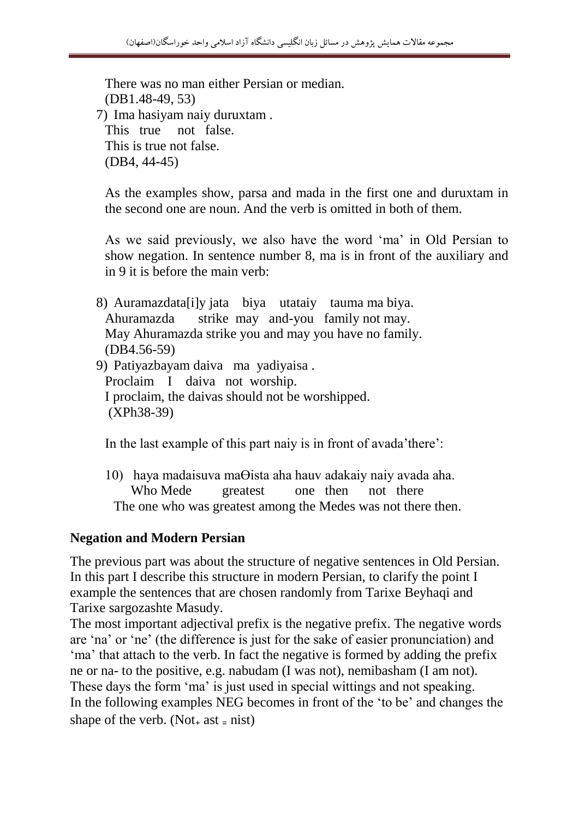There was no man either Persian or median. (DB1.48-49, 53) 7) Ima hasiyam naiy duruxtam . This true not false. This is true not false. (DB4, 44-45)

As the examples show, parsa and mada in the first one and duruxtam in the second one are noun. And the verb is omitted in both of them.

As we said previously, we also have the word 'ma' in Old Persian to show negation. In sentence number 8, ma is in front of the auxiliary and in 9 it is before the main verb:

8) Auramazdata[i]y jata biya utataiy tauma ma biya. Ahuramazda strike may and-you family not may. May Ahuramazda strike you and may you have no family. (DB4.56-59) 9) Patiyazbayam daiva ma yadiyaisa . Proclaim I daiva not worship. I proclaim, the daivas should not be worshipped. (XPh38-39)

In the last example of this part naiy is in front of avada'there':

10) haya madaisuva maӨista aha hauv adakaiy naiy avada aha. Who Mede greatest one then not there The one who was greatest among the Medes was not there then.

### **Negation and Modern Persian**

The previous part was about the structure of negative sentences in Old Persian. In this part I describe this structure in modern Persian, to clarify the point I example the sentences that are chosen randomly from Tarixe Beyhaqi and Tarixe sargozashte Masudy.

The most important adjectival prefix is the negative prefix. The negative words are 'na' or 'ne' (the difference is just for the sake of easier pronunciation) and 'ma' that attach to the verb. In fact the negative is formed by adding the prefix ne or na- to the positive, e.g. nabudam (I was not), nemibasham (I am not). These days the form 'ma' is just used in special wittings and not speaking. In the following examples NEG becomes in front of the 'to be' and changes the shape of the verb. (Not<sub>+</sub> ast  $=$  nist)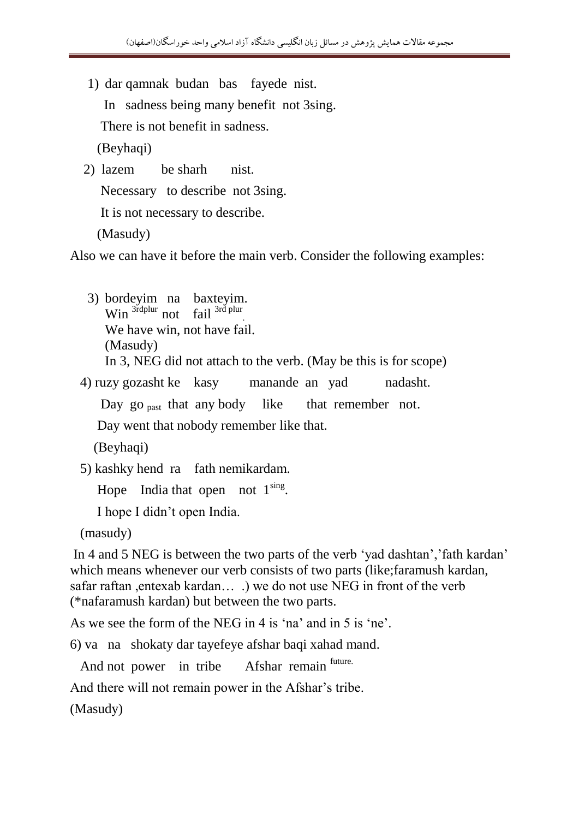- 1) dar qamnak budan bas fayede nist.
	- In sadness being many benefit not 3sing.

There is not benefit in sadness.

(Beyhaqi)

2) lazem be sharh nist.

Necessary to describe not 3sing.

It is not necessary to describe.

(Masudy)

Also we can have it before the main verb. Consider the following examples:

3) bordeyim na baxteyim. Win  $\frac{3^{rd}$ plur not fail  $3^{rd}$  plur We have win, not have fail. (Masudy) In 3, NEG did not attach to the verb. (May be this is for scope)

4) ruzy gozasht ke kasy manande an yad nadasht.

Day go <sub>past</sub> that any body like that remember not.

Day went that nobody remember like that.

(Beyhaqi)

5) kashky hend ra fath nemikardam.

Hope India that open not  $1^{\text{sing}}$ .

I hope I didn't open India.

(masudy)

In 4 and 5 NEG is between the two parts of the verb 'yad dashtan','fath kardan' which means whenever our verb consists of two parts (like;faramush kardan, safar raftan ,entexab kardan… .) we do not use NEG in front of the verb (\*nafaramush kardan) but between the two parts.

As we see the form of the NEG in 4 is 'na' and in 5 is 'ne'.

6) va na shokaty dar tayefeye afshar baqi xahad mand.

And not power in tribe Afshar remain future.

And there will not remain power in the Afshar's tribe.

(Masudy)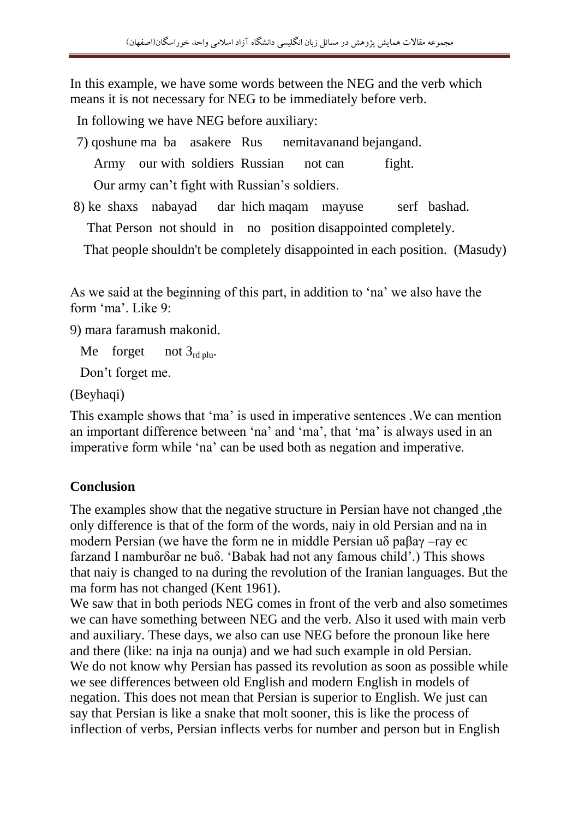In this example, we have some words between the NEG and the verb which means it is not necessary for NEG to be immediately before verb.

In following we have NEG before auxiliary:

- 7) qoshune ma ba asakere Rus nemitavanand bejangand. Army our with soldiers Russian not can fight. Our army can't fight with Russian's soldiers.
- 8) ke shaxs nabayad dar hich maqam mayuse serf bashad. That Person not should in no position disappointed completely.

That people shouldn't be completely disappointed in each position. (Masudy)

As we said at the beginning of this part, in addition to 'na' we also have the form 'ma'. Like 9:

9) mara faramush makonid.

Me forget not  $3_{rd \, \text{nlu}}$ .

Don't forget me.

(Beyhaqi)

This example shows that 'ma' is used in imperative sentences .We can mention an important difference between 'na' and 'ma', that 'ma' is always used in an imperative form while 'na' can be used both as negation and imperative.

# **Conclusion**

The examples show that the negative structure in Persian have not changed ,the only difference is that of the form of the words, naiy in old Persian and na in modern Persian (we have the form ne in middle Persian uδ paβaγ –ray ec farzand I namburδar ne buδ. 'Babak had not any famous child'.) This shows that naiy is changed to na during the revolution of the Iranian languages. But the ma form has not changed (Kent 1961).

We saw that in both periods NEG comes in front of the verb and also sometimes we can have something between NEG and the verb. Also it used with main verb and auxiliary. These days, we also can use NEG before the pronoun like here and there (like: na inja na ounja) and we had such example in old Persian. We do not know why Persian has passed its revolution as soon as possible while we see differences between old English and modern English in models of negation. This does not mean that Persian is superior to English. We just can say that Persian is like a snake that molt sooner, this is like the process of inflection of verbs, Persian inflects verbs for number and person but in English